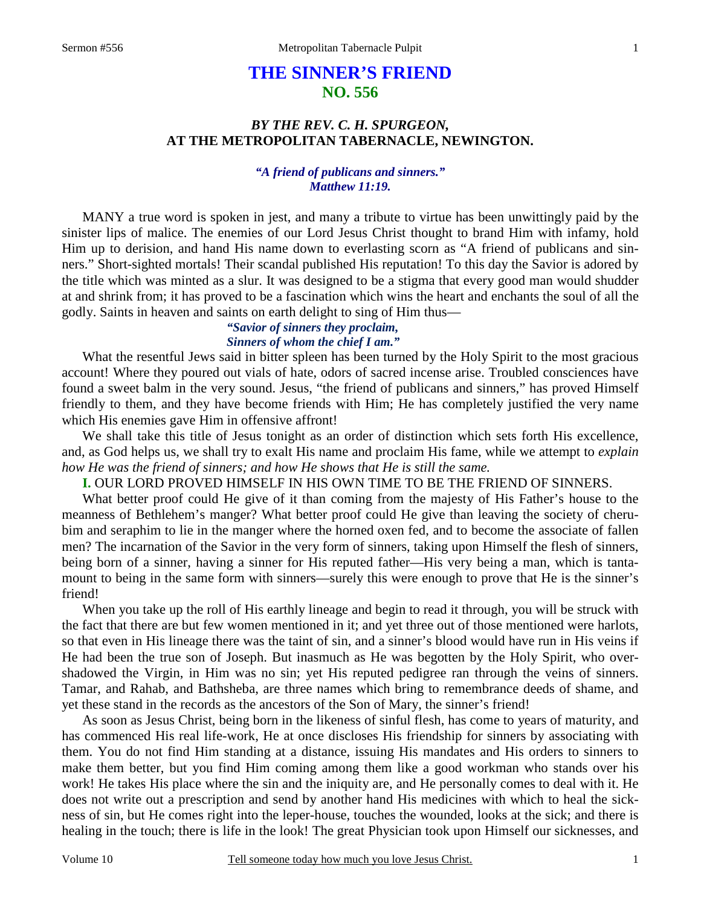# **THE SINNER'S FRIEND NO. 556**

# *BY THE REV. C. H. SPURGEON,*  **AT THE METROPOLITAN TABERNACLE, NEWINGTON.**

## *"A friend of publicans and sinners." Matthew 11:19.*

MANY a true word is spoken in jest, and many a tribute to virtue has been unwittingly paid by the sinister lips of malice. The enemies of our Lord Jesus Christ thought to brand Him with infamy, hold Him up to derision, and hand His name down to everlasting scorn as "A friend of publicans and sinners." Short-sighted mortals! Their scandal published His reputation! To this day the Savior is adored by the title which was minted as a slur. It was designed to be a stigma that every good man would shudder at and shrink from; it has proved to be a fascination which wins the heart and enchants the soul of all the godly. Saints in heaven and saints on earth delight to sing of Him thus—

### *"Savior of sinners they proclaim, Sinners of whom the chief I am."*

What the resentful Jews said in bitter spleen has been turned by the Holy Spirit to the most gracious account! Where they poured out vials of hate, odors of sacred incense arise. Troubled consciences have found a sweet balm in the very sound. Jesus, "the friend of publicans and sinners," has proved Himself friendly to them, and they have become friends with Him; He has completely justified the very name which His enemies gave Him in offensive affront!

We shall take this title of Jesus tonight as an order of distinction which sets forth His excellence, and, as God helps us, we shall try to exalt His name and proclaim His fame, while we attempt to *explain how He was the friend of sinners; and how He shows that He is still the same.*

# **I.** OUR LORD PROVED HIMSELF IN HIS OWN TIME TO BE THE FRIEND OF SINNERS.

What better proof could He give of it than coming from the majesty of His Father's house to the meanness of Bethlehem's manger? What better proof could He give than leaving the society of cherubim and seraphim to lie in the manger where the horned oxen fed, and to become the associate of fallen men? The incarnation of the Savior in the very form of sinners, taking upon Himself the flesh of sinners, being born of a sinner, having a sinner for His reputed father—His very being a man, which is tantamount to being in the same form with sinners—surely this were enough to prove that He is the sinner's friend!

When you take up the roll of His earthly lineage and begin to read it through, you will be struck with the fact that there are but few women mentioned in it; and yet three out of those mentioned were harlots, so that even in His lineage there was the taint of sin, and a sinner's blood would have run in His veins if He had been the true son of Joseph. But inasmuch as He was begotten by the Holy Spirit, who overshadowed the Virgin, in Him was no sin; yet His reputed pedigree ran through the veins of sinners. Tamar, and Rahab, and Bathsheba, are three names which bring to remembrance deeds of shame, and yet these stand in the records as the ancestors of the Son of Mary, the sinner's friend!

As soon as Jesus Christ, being born in the likeness of sinful flesh, has come to years of maturity, and has commenced His real life-work, He at once discloses His friendship for sinners by associating with them. You do not find Him standing at a distance, issuing His mandates and His orders to sinners to make them better, but you find Him coming among them like a good workman who stands over his work! He takes His place where the sin and the iniquity are, and He personally comes to deal with it. He does not write out a prescription and send by another hand His medicines with which to heal the sickness of sin, but He comes right into the leper-house, touches the wounded, looks at the sick; and there is healing in the touch; there is life in the look! The great Physician took upon Himself our sicknesses, and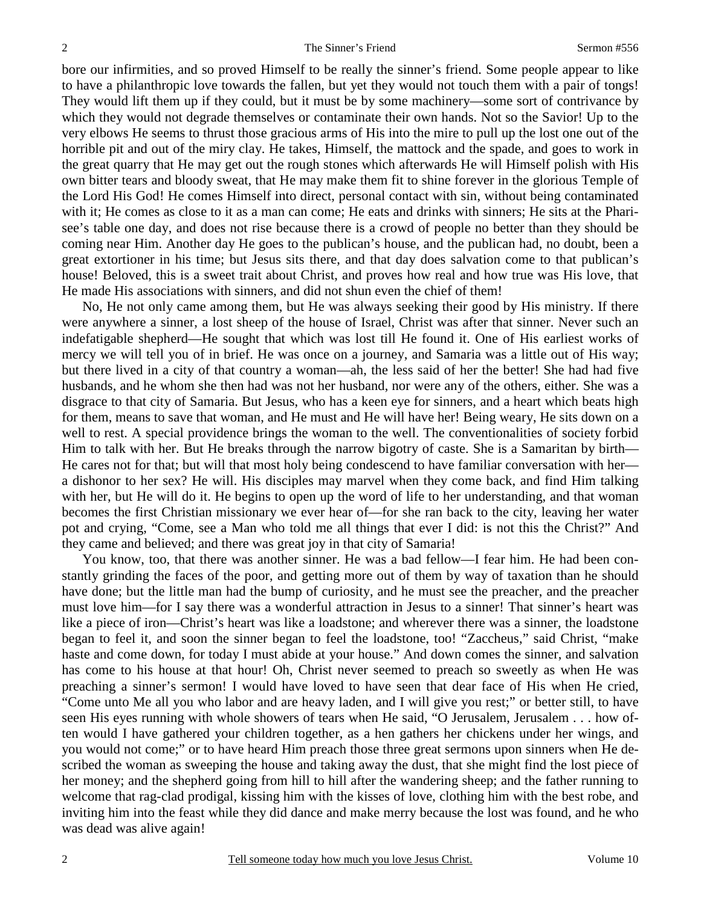bore our infirmities, and so proved Himself to be really the sinner's friend. Some people appear to like to have a philanthropic love towards the fallen, but yet they would not touch them with a pair of tongs! They would lift them up if they could, but it must be by some machinery—some sort of contrivance by which they would not degrade themselves or contaminate their own hands. Not so the Savior! Up to the very elbows He seems to thrust those gracious arms of His into the mire to pull up the lost one out of the horrible pit and out of the miry clay. He takes, Himself, the mattock and the spade, and goes to work in the great quarry that He may get out the rough stones which afterwards He will Himself polish with His own bitter tears and bloody sweat, that He may make them fit to shine forever in the glorious Temple of the Lord His God! He comes Himself into direct, personal contact with sin, without being contaminated with it; He comes as close to it as a man can come; He eats and drinks with sinners; He sits at the Pharisee's table one day, and does not rise because there is a crowd of people no better than they should be coming near Him. Another day He goes to the publican's house, and the publican had, no doubt, been a great extortioner in his time; but Jesus sits there, and that day does salvation come to that publican's house! Beloved, this is a sweet trait about Christ, and proves how real and how true was His love, that He made His associations with sinners, and did not shun even the chief of them!

No, He not only came among them, but He was always seeking their good by His ministry. If there were anywhere a sinner, a lost sheep of the house of Israel, Christ was after that sinner. Never such an indefatigable shepherd—He sought that which was lost till He found it. One of His earliest works of mercy we will tell you of in brief. He was once on a journey, and Samaria was a little out of His way; but there lived in a city of that country a woman—ah, the less said of her the better! She had had five husbands, and he whom she then had was not her husband, nor were any of the others, either. She was a disgrace to that city of Samaria. But Jesus, who has a keen eye for sinners, and a heart which beats high for them, means to save that woman, and He must and He will have her! Being weary, He sits down on a well to rest. A special providence brings the woman to the well. The conventionalities of society forbid Him to talk with her. But He breaks through the narrow bigotry of caste. She is a Samaritan by birth— He cares not for that; but will that most holy being condescend to have familiar conversation with her a dishonor to her sex? He will. His disciples may marvel when they come back, and find Him talking with her, but He will do it. He begins to open up the word of life to her understanding, and that woman becomes the first Christian missionary we ever hear of—for she ran back to the city, leaving her water pot and crying, "Come, see a Man who told me all things that ever I did: is not this the Christ?" And they came and believed; and there was great joy in that city of Samaria!

You know, too, that there was another sinner. He was a bad fellow—I fear him. He had been constantly grinding the faces of the poor, and getting more out of them by way of taxation than he should have done; but the little man had the bump of curiosity, and he must see the preacher, and the preacher must love him—for I say there was a wonderful attraction in Jesus to a sinner! That sinner's heart was like a piece of iron—Christ's heart was like a loadstone; and wherever there was a sinner, the loadstone began to feel it, and soon the sinner began to feel the loadstone, too! "Zaccheus," said Christ, "make haste and come down, for today I must abide at your house." And down comes the sinner, and salvation has come to his house at that hour! Oh, Christ never seemed to preach so sweetly as when He was preaching a sinner's sermon! I would have loved to have seen that dear face of His when He cried, "Come unto Me all you who labor and are heavy laden, and I will give you rest;" or better still, to have seen His eyes running with whole showers of tears when He said, "O Jerusalem, Jerusalem . . . how often would I have gathered your children together, as a hen gathers her chickens under her wings, and you would not come;" or to have heard Him preach those three great sermons upon sinners when He described the woman as sweeping the house and taking away the dust, that she might find the lost piece of her money; and the shepherd going from hill to hill after the wandering sheep; and the father running to welcome that rag-clad prodigal, kissing him with the kisses of love, clothing him with the best robe, and inviting him into the feast while they did dance and make merry because the lost was found, and he who was dead was alive again!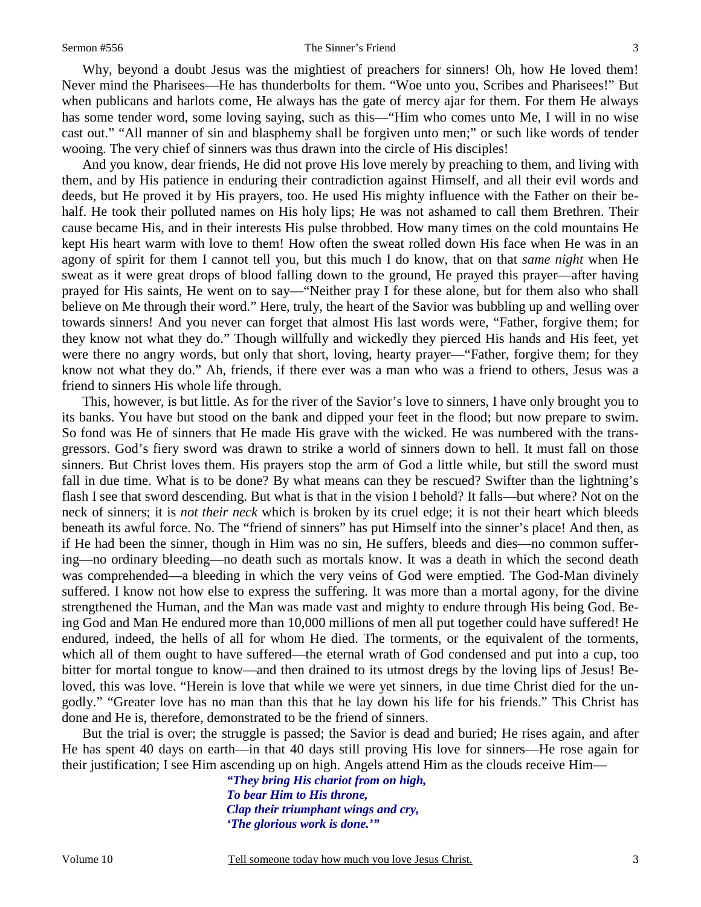#### Sermon #556 The Sinner's Friend

Why, beyond a doubt Jesus was the mightiest of preachers for sinners! Oh, how He loved them! Never mind the Pharisees—He has thunderbolts for them. "Woe unto you, Scribes and Pharisees!" But when publicans and harlots come, He always has the gate of mercy ajar for them. For them He always has some tender word, some loving saying, such as this—"Him who comes unto Me, I will in no wise cast out." "All manner of sin and blasphemy shall be forgiven unto men;" or such like words of tender wooing. The very chief of sinners was thus drawn into the circle of His disciples!

And you know, dear friends, He did not prove His love merely by preaching to them, and living with them, and by His patience in enduring their contradiction against Himself, and all their evil words and deeds, but He proved it by His prayers, too. He used His mighty influence with the Father on their behalf. He took their polluted names on His holy lips; He was not ashamed to call them Brethren. Their cause became His, and in their interests His pulse throbbed. How many times on the cold mountains He kept His heart warm with love to them! How often the sweat rolled down His face when He was in an agony of spirit for them I cannot tell you, but this much I do know, that on that *same night* when He sweat as it were great drops of blood falling down to the ground, He prayed this prayer—after having prayed for His saints, He went on to say—"Neither pray I for these alone, but for them also who shall believe on Me through their word." Here, truly, the heart of the Savior was bubbling up and welling over towards sinners! And you never can forget that almost His last words were, "Father, forgive them; for they know not what they do." Though willfully and wickedly they pierced His hands and His feet, yet were there no angry words, but only that short, loving, hearty prayer—"Father, forgive them; for they know not what they do." Ah, friends, if there ever was a man who was a friend to others, Jesus was a friend to sinners His whole life through.

This, however, is but little. As for the river of the Savior's love to sinners, I have only brought you to its banks. You have but stood on the bank and dipped your feet in the flood; but now prepare to swim. So fond was He of sinners that He made His grave with the wicked. He was numbered with the transgressors. God's fiery sword was drawn to strike a world of sinners down to hell. It must fall on those sinners. But Christ loves them. His prayers stop the arm of God a little while, but still the sword must fall in due time. What is to be done? By what means can they be rescued? Swifter than the lightning's flash I see that sword descending. But what is that in the vision I behold? It falls—but where? Not on the neck of sinners; it is *not their neck* which is broken by its cruel edge; it is not their heart which bleeds beneath its awful force. No. The "friend of sinners" has put Himself into the sinner's place! And then, as if He had been the sinner, though in Him was no sin, He suffers, bleeds and dies—no common suffering—no ordinary bleeding—no death such as mortals know. It was a death in which the second death was comprehended—a bleeding in which the very veins of God were emptied. The God-Man divinely suffered. I know not how else to express the suffering. It was more than a mortal agony, for the divine strengthened the Human, and the Man was made vast and mighty to endure through His being God. Being God and Man He endured more than 10,000 millions of men all put together could have suffered! He endured, indeed, the hells of all for whom He died. The torments, or the equivalent of the torments, which all of them ought to have suffered—the eternal wrath of God condensed and put into a cup, too bitter for mortal tongue to know—and then drained to its utmost dregs by the loving lips of Jesus! Beloved, this was love. "Herein is love that while we were yet sinners, in due time Christ died for the ungodly." "Greater love has no man than this that he lay down his life for his friends." This Christ has done and He is, therefore, demonstrated to be the friend of sinners.

But the trial is over; the struggle is passed; the Savior is dead and buried; He rises again, and after He has spent 40 days on earth—in that 40 days still proving His love for sinners—He rose again for their justification; I see Him ascending up on high. Angels attend Him as the clouds receive Him—

> *"They bring His chariot from on high, To bear Him to His throne, Clap their triumphant wings and cry, 'The glorious work is done.'"*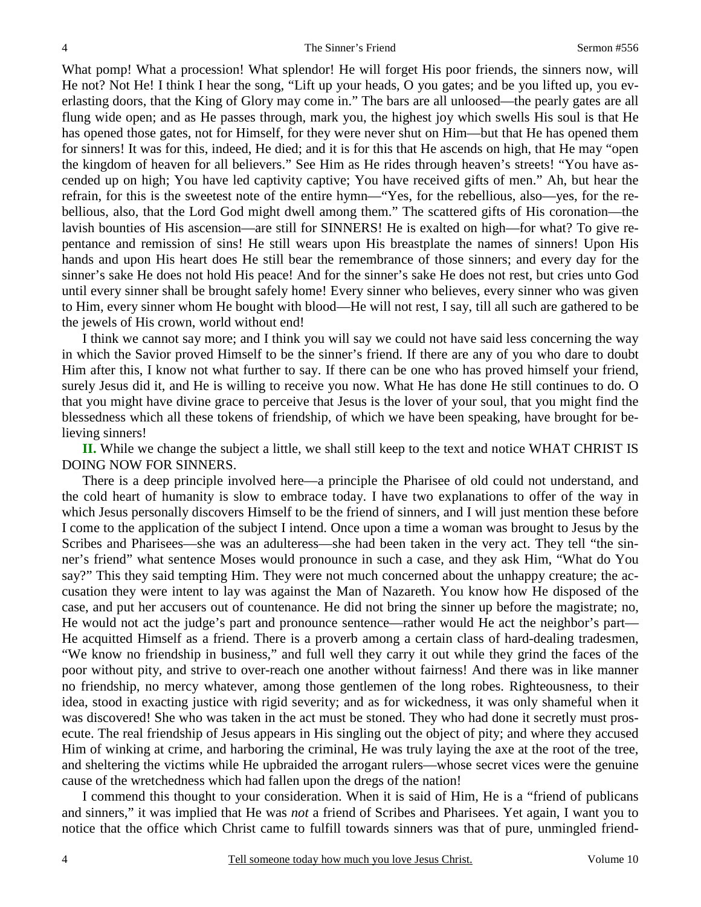What pomp! What a procession! What splendor! He will forget His poor friends, the sinners now, will He not? Not He! I think I hear the song, "Lift up your heads, O you gates; and be you lifted up, you everlasting doors, that the King of Glory may come in." The bars are all unloosed—the pearly gates are all flung wide open; and as He passes through, mark you, the highest joy which swells His soul is that He has opened those gates, not for Himself, for they were never shut on Him—but that He has opened them for sinners! It was for this, indeed, He died; and it is for this that He ascends on high, that He may "open the kingdom of heaven for all believers." See Him as He rides through heaven's streets! "You have ascended up on high; You have led captivity captive; You have received gifts of men." Ah, but hear the refrain, for this is the sweetest note of the entire hymn—"Yes, for the rebellious, also—yes, for the rebellious, also, that the Lord God might dwell among them." The scattered gifts of His coronation—the lavish bounties of His ascension—are still for SINNERS! He is exalted on high—for what? To give repentance and remission of sins! He still wears upon His breastplate the names of sinners! Upon His hands and upon His heart does He still bear the remembrance of those sinners; and every day for the sinner's sake He does not hold His peace! And for the sinner's sake He does not rest, but cries unto God until every sinner shall be brought safely home! Every sinner who believes, every sinner who was given to Him, every sinner whom He bought with blood—He will not rest, I say, till all such are gathered to be the jewels of His crown, world without end!

I think we cannot say more; and I think you will say we could not have said less concerning the way in which the Savior proved Himself to be the sinner's friend. If there are any of you who dare to doubt Him after this, I know not what further to say. If there can be one who has proved himself your friend, surely Jesus did it, and He is willing to receive you now. What He has done He still continues to do. O that you might have divine grace to perceive that Jesus is the lover of your soul, that you might find the blessedness which all these tokens of friendship, of which we have been speaking, have brought for believing sinners!

**II.** While we change the subject a little, we shall still keep to the text and notice WHAT CHRIST IS DOING NOW FOR SINNERS.

There is a deep principle involved here—a principle the Pharisee of old could not understand, and the cold heart of humanity is slow to embrace today. I have two explanations to offer of the way in which Jesus personally discovers Himself to be the friend of sinners, and I will just mention these before I come to the application of the subject I intend. Once upon a time a woman was brought to Jesus by the Scribes and Pharisees—she was an adulteress—she had been taken in the very act. They tell "the sinner's friend" what sentence Moses would pronounce in such a case, and they ask Him, "What do You say?" This they said tempting Him. They were not much concerned about the unhappy creature; the accusation they were intent to lay was against the Man of Nazareth. You know how He disposed of the case, and put her accusers out of countenance. He did not bring the sinner up before the magistrate; no, He would not act the judge's part and pronounce sentence—rather would He act the neighbor's part— He acquitted Himself as a friend. There is a proverb among a certain class of hard-dealing tradesmen, "We know no friendship in business," and full well they carry it out while they grind the faces of the poor without pity, and strive to over-reach one another without fairness! And there was in like manner no friendship, no mercy whatever, among those gentlemen of the long robes. Righteousness, to their idea, stood in exacting justice with rigid severity; and as for wickedness, it was only shameful when it was discovered! She who was taken in the act must be stoned. They who had done it secretly must prosecute. The real friendship of Jesus appears in His singling out the object of pity; and where they accused Him of winking at crime, and harboring the criminal, He was truly laying the axe at the root of the tree, and sheltering the victims while He upbraided the arrogant rulers—whose secret vices were the genuine cause of the wretchedness which had fallen upon the dregs of the nation!

I commend this thought to your consideration. When it is said of Him, He is a "friend of publicans and sinners," it was implied that He was *not* a friend of Scribes and Pharisees. Yet again, I want you to notice that the office which Christ came to fulfill towards sinners was that of pure, unmingled friend-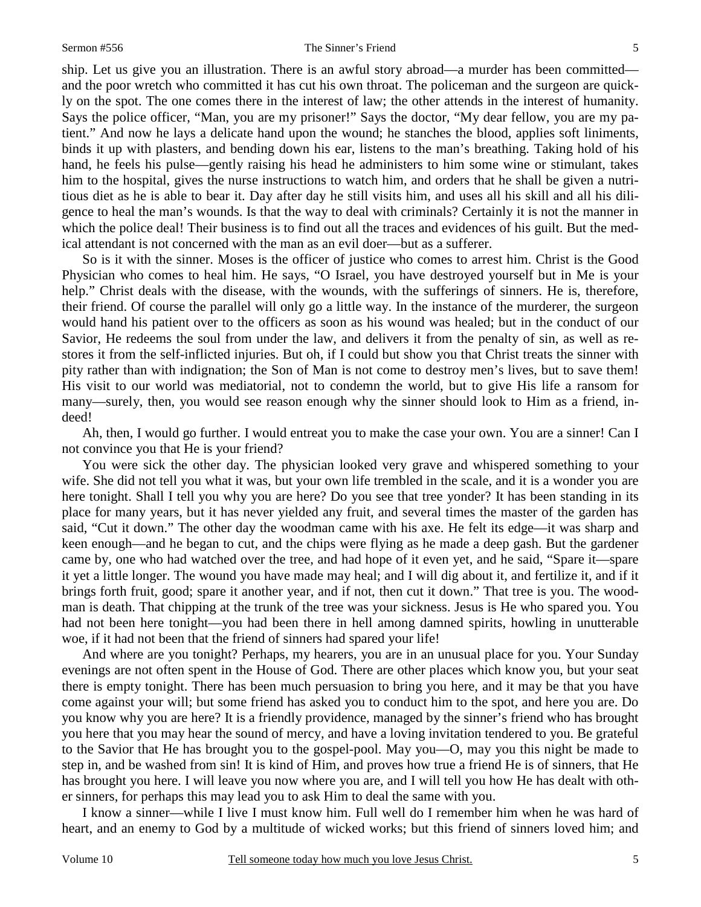#### Sermon #556 The Sinner's Friend

ship. Let us give you an illustration. There is an awful story abroad—a murder has been committed and the poor wretch who committed it has cut his own throat. The policeman and the surgeon are quickly on the spot. The one comes there in the interest of law; the other attends in the interest of humanity. Says the police officer, "Man, you are my prisoner!" Says the doctor, "My dear fellow, you are my patient." And now he lays a delicate hand upon the wound; he stanches the blood, applies soft liniments, binds it up with plasters, and bending down his ear, listens to the man's breathing. Taking hold of his hand, he feels his pulse—gently raising his head he administers to him some wine or stimulant, takes him to the hospital, gives the nurse instructions to watch him, and orders that he shall be given a nutritious diet as he is able to bear it. Day after day he still visits him, and uses all his skill and all his diligence to heal the man's wounds. Is that the way to deal with criminals? Certainly it is not the manner in which the police deal! Their business is to find out all the traces and evidences of his guilt. But the medical attendant is not concerned with the man as an evil doer—but as a sufferer.

So is it with the sinner. Moses is the officer of justice who comes to arrest him. Christ is the Good Physician who comes to heal him. He says, "O Israel, you have destroyed yourself but in Me is your help." Christ deals with the disease, with the wounds, with the sufferings of sinners. He is, therefore, their friend. Of course the parallel will only go a little way. In the instance of the murderer, the surgeon would hand his patient over to the officers as soon as his wound was healed; but in the conduct of our Savior, He redeems the soul from under the law, and delivers it from the penalty of sin, as well as restores it from the self-inflicted injuries. But oh, if I could but show you that Christ treats the sinner with pity rather than with indignation; the Son of Man is not come to destroy men's lives, but to save them! His visit to our world was mediatorial, not to condemn the world, but to give His life a ransom for many—surely, then, you would see reason enough why the sinner should look to Him as a friend, indeed!

Ah, then, I would go further. I would entreat you to make the case your own. You are a sinner! Can I not convince you that He is your friend?

You were sick the other day. The physician looked very grave and whispered something to your wife. She did not tell you what it was, but your own life trembled in the scale, and it is a wonder you are here tonight. Shall I tell you why you are here? Do you see that tree yonder? It has been standing in its place for many years, but it has never yielded any fruit, and several times the master of the garden has said, "Cut it down." The other day the woodman came with his axe. He felt its edge—it was sharp and keen enough—and he began to cut, and the chips were flying as he made a deep gash. But the gardener came by, one who had watched over the tree, and had hope of it even yet, and he said, "Spare it—spare it yet a little longer. The wound you have made may heal; and I will dig about it, and fertilize it, and if it brings forth fruit, good; spare it another year, and if not, then cut it down." That tree is you. The woodman is death. That chipping at the trunk of the tree was your sickness. Jesus is He who spared you. You had not been here tonight—you had been there in hell among damned spirits, howling in unutterable woe, if it had not been that the friend of sinners had spared your life!

And where are you tonight? Perhaps, my hearers, you are in an unusual place for you. Your Sunday evenings are not often spent in the House of God. There are other places which know you, but your seat there is empty tonight. There has been much persuasion to bring you here, and it may be that you have come against your will; but some friend has asked you to conduct him to the spot, and here you are. Do you know why you are here? It is a friendly providence, managed by the sinner's friend who has brought you here that you may hear the sound of mercy, and have a loving invitation tendered to you. Be grateful to the Savior that He has brought you to the gospel-pool. May you—O, may you this night be made to step in, and be washed from sin! It is kind of Him, and proves how true a friend He is of sinners, that He has brought you here. I will leave you now where you are, and I will tell you how He has dealt with other sinners, for perhaps this may lead you to ask Him to deal the same with you.

I know a sinner—while I live I must know him. Full well do I remember him when he was hard of heart, and an enemy to God by a multitude of wicked works; but this friend of sinners loved him; and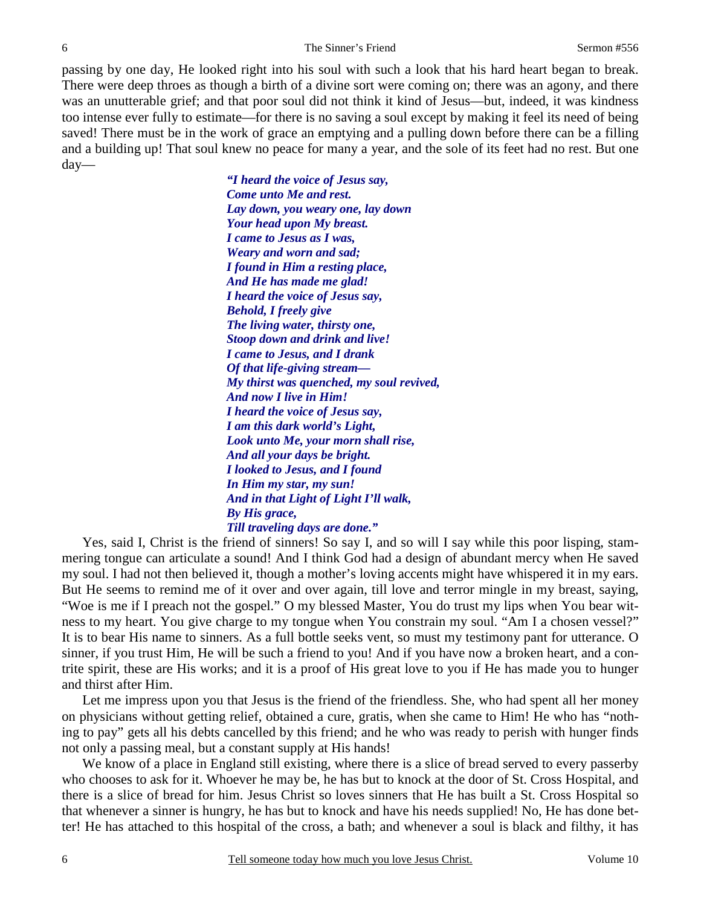#### The Sinner's Friend Sermon #556

passing by one day, He looked right into his soul with such a look that his hard heart began to break. There were deep throes as though a birth of a divine sort were coming on; there was an agony, and there was an unutterable grief; and that poor soul did not think it kind of Jesus—but, indeed, it was kindness too intense ever fully to estimate—for there is no saving a soul except by making it feel its need of being saved! There must be in the work of grace an emptying and a pulling down before there can be a filling and a building up! That soul knew no peace for many a year, and the sole of its feet had no rest. But one day—

> *"I heard the voice of Jesus say, Come unto Me and rest. Lay down, you weary one, lay down Your head upon My breast. I came to Jesus as I was, Weary and worn and sad; I found in Him a resting place, And He has made me glad! I heard the voice of Jesus say, Behold, I freely give The living water, thirsty one, Stoop down and drink and live! I came to Jesus, and I drank Of that life-giving stream— My thirst was quenched, my soul revived, And now I live in Him! I heard the voice of Jesus say, I am this dark world's Light, Look unto Me, your morn shall rise, And all your days be bright. I looked to Jesus, and I found In Him my star, my sun! And in that Light of Light I'll walk, By His grace, Till traveling days are done."*

Yes, said I, Christ is the friend of sinners! So say I, and so will I say while this poor lisping, stammering tongue can articulate a sound! And I think God had a design of abundant mercy when He saved my soul. I had not then believed it, though a mother's loving accents might have whispered it in my ears. But He seems to remind me of it over and over again, till love and terror mingle in my breast, saying, "Woe is me if I preach not the gospel." O my blessed Master, You do trust my lips when You bear witness to my heart. You give charge to my tongue when You constrain my soul. "Am I a chosen vessel?" It is to bear His name to sinners. As a full bottle seeks vent, so must my testimony pant for utterance. O sinner, if you trust Him, He will be such a friend to you! And if you have now a broken heart, and a contrite spirit, these are His works; and it is a proof of His great love to you if He has made you to hunger and thirst after Him.

Let me impress upon you that Jesus is the friend of the friendless. She, who had spent all her money on physicians without getting relief, obtained a cure, gratis, when she came to Him! He who has "nothing to pay" gets all his debts cancelled by this friend; and he who was ready to perish with hunger finds not only a passing meal, but a constant supply at His hands!

We know of a place in England still existing, where there is a slice of bread served to every passerby who chooses to ask for it. Whoever he may be, he has but to knock at the door of St. Cross Hospital, and there is a slice of bread for him. Jesus Christ so loves sinners that He has built a St. Cross Hospital so that whenever a sinner is hungry, he has but to knock and have his needs supplied! No, He has done better! He has attached to this hospital of the cross, a bath; and whenever a soul is black and filthy, it has

6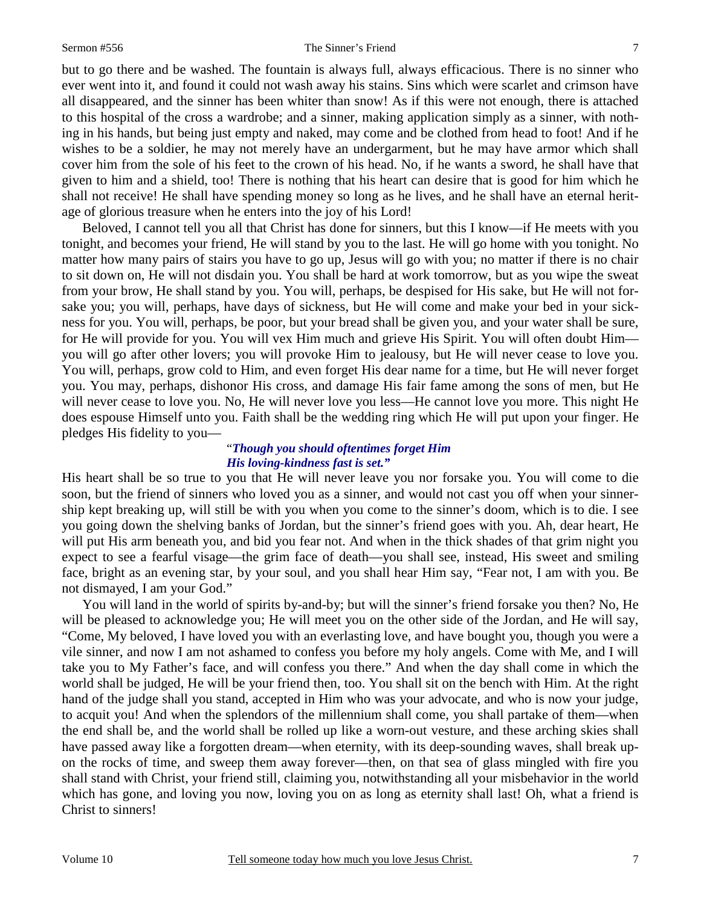#### Sermon #556 The Sinner's Friend

but to go there and be washed. The fountain is always full, always efficacious. There is no sinner who ever went into it, and found it could not wash away his stains. Sins which were scarlet and crimson have all disappeared, and the sinner has been whiter than snow! As if this were not enough, there is attached to this hospital of the cross a wardrobe; and a sinner, making application simply as a sinner, with nothing in his hands, but being just empty and naked, may come and be clothed from head to foot! And if he wishes to be a soldier, he may not merely have an undergarment, but he may have armor which shall cover him from the sole of his feet to the crown of his head. No, if he wants a sword, he shall have that given to him and a shield, too! There is nothing that his heart can desire that is good for him which he shall not receive! He shall have spending money so long as he lives, and he shall have an eternal heritage of glorious treasure when he enters into the joy of his Lord!

Beloved, I cannot tell you all that Christ has done for sinners, but this I know—if He meets with you tonight, and becomes your friend, He will stand by you to the last. He will go home with you tonight. No matter how many pairs of stairs you have to go up, Jesus will go with you; no matter if there is no chair to sit down on, He will not disdain you. You shall be hard at work tomorrow, but as you wipe the sweat from your brow, He shall stand by you. You will, perhaps, be despised for His sake, but He will not forsake you; you will, perhaps, have days of sickness, but He will come and make your bed in your sickness for you. You will, perhaps, be poor, but your bread shall be given you, and your water shall be sure, for He will provide for you. You will vex Him much and grieve His Spirit. You will often doubt Him you will go after other lovers; you will provoke Him to jealousy, but He will never cease to love you. You will, perhaps, grow cold to Him, and even forget His dear name for a time, but He will never forget you. You may, perhaps, dishonor His cross, and damage His fair fame among the sons of men, but He will never cease to love you. No, He will never love you less—He cannot love you more. This night He does espouse Himself unto you. Faith shall be the wedding ring which He will put upon your finger. He pledges His fidelity to you—

# "*Though you should oftentimes forget Him His loving-kindness fast is set."*

His heart shall be so true to you that He will never leave you nor forsake you. You will come to die soon, but the friend of sinners who loved you as a sinner, and would not cast you off when your sinnership kept breaking up, will still be with you when you come to the sinner's doom, which is to die. I see you going down the shelving banks of Jordan, but the sinner's friend goes with you. Ah, dear heart, He will put His arm beneath you, and bid you fear not. And when in the thick shades of that grim night you expect to see a fearful visage—the grim face of death—you shall see, instead, His sweet and smiling face, bright as an evening star, by your soul, and you shall hear Him say, "Fear not, I am with you. Be not dismayed, I am your God."

You will land in the world of spirits by-and-by; but will the sinner's friend forsake you then? No, He will be pleased to acknowledge you; He will meet you on the other side of the Jordan, and He will say, "Come, My beloved, I have loved you with an everlasting love, and have bought you, though you were a vile sinner, and now I am not ashamed to confess you before my holy angels. Come with Me, and I will take you to My Father's face, and will confess you there." And when the day shall come in which the world shall be judged, He will be your friend then, too. You shall sit on the bench with Him. At the right hand of the judge shall you stand, accepted in Him who was your advocate, and who is now your judge, to acquit you! And when the splendors of the millennium shall come, you shall partake of them—when the end shall be, and the world shall be rolled up like a worn-out vesture, and these arching skies shall have passed away like a forgotten dream—when eternity, with its deep-sounding waves, shall break upon the rocks of time, and sweep them away forever—then, on that sea of glass mingled with fire you shall stand with Christ, your friend still, claiming you, notwithstanding all your misbehavior in the world which has gone, and loving you now, loving you on as long as eternity shall last! Oh, what a friend is Christ to sinners!